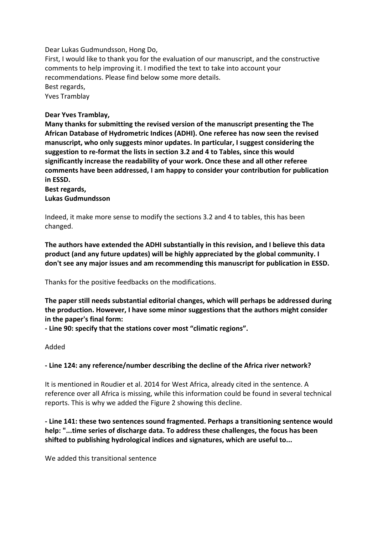Dear Lukas Gudmundsson, Hong Do,

First, I would like to thank you for the evaluation of our manuscript, and the constructive comments to help improving it. I modified the text to take into account your recommendations. Please find below some more details. Best regards, Yves Tramblay

### **Dear Yves Tramblay,**

**Many thanks for submitting the revised version of the manuscript presenting the The African Database of Hydrometric Indices (ADHI). One referee has now seen the revised manuscript, who only suggests minor updates. In particular, I suggest considering the suggestion to re-format the lists in section 3.2 and 4 to Tables, since this would significantly increase the readability of your work. Once these and all other referee comments have been addressed, I am happy to consider your contribution for publication in ESSD.**

### **Best regards, Lukas Gudmundsson**

Indeed, it make more sense to modify the sections 3.2 and 4 to tables, this has been changed.

**The authors have extended the ADHI substantially in this revision, and I believe this data product (and any future updates) will be highly appreciated by the global community. I don't see any major issues and am recommending this manuscript for publication in ESSD.** 

Thanks for the positive feedbacks on the modifications.

**The paper still needs substantial editorial changes, which will perhaps be addressed during the production. However, I have some minor suggestions that the authors might consider in the paper's final form:**

**- Line 90: specify that the stations cover most "climatic regions".**

### Added

### **- Line 124: any reference/number describing the decline of the Africa river network?**

It is mentioned in Roudier et al. 2014 for West Africa, already cited in the sentence. A reference over all Africa is missing, while this information could be found in several technical reports. This is why we added the Figure 2 showing this decline.

**- Line 141: these two sentences sound fragmented. Perhaps a transitioning sentence would help: "...time series of discharge data. To address these challenges, the focus has been shifted to publishing hydrological indices and signatures, which are useful to...**

We added this transitional sentence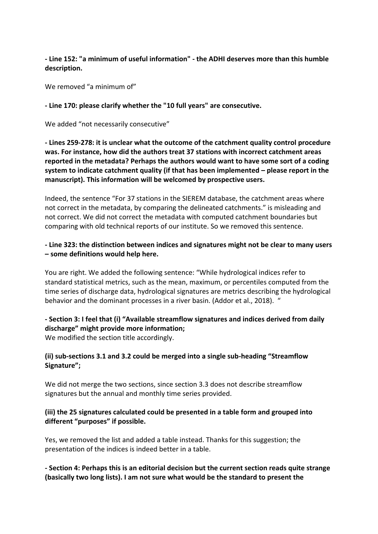**- Line 152: "a minimum of useful information" - the ADHI deserves more than this humble description.**

We removed "a minimum of"

**- Line 170: please clarify whether the "10 full years" are consecutive.**

We added "not necessarily consecutive"

**- Lines 259-278: it is unclear what the outcome of the catchment quality control procedure was. For instance, how did the authors treat 37 stations with incorrect catchment areas reported in the metadata? Perhaps the authors would want to have some sort of a coding system to indicate catchment quality (if that has been implemented – please report in the manuscript). This information will be welcomed by prospective users.**

Indeed, the sentence "For 37 stations in the SIEREM database, the catchment areas where not correct in the metadata, by comparing the delineated catchments." is misleading and not correct. We did not correct the metadata with computed catchment boundaries but comparing with old technical reports of our institute. So we removed this sentence.

# **- Line 323: the distinction between indices and signatures might not be clear to many users – some definitions would help here.**

You are right. We added the following sentence: "While hydrological indices refer to standard statistical metrics, such as the mean, maximum, or percentiles computed from the time series of discharge data, hydrological signatures are metrics describing the hydrological behavior and the dominant processes in a river basin. (Addor et al., 2018). "

# **- Section 3: I feel that (i) "Available streamflow signatures and indices derived from daily discharge" might provide more information;**

We modified the section title accordingly.

# **(ii) sub-sections 3.1 and 3.2 could be merged into a single sub-heading "Streamflow Signature";**

We did not merge the two sections, since section 3.3 does not describe streamflow signatures but the annual and monthly time series provided.

# **(iii) the 25 signatures calculated could be presented in a table form and grouped into different "purposes" if possible.**

Yes, we removed the list and added a table instead. Thanks for this suggestion; the presentation of the indices is indeed better in a table.

# **- Section 4: Perhaps this is an editorial decision but the current section reads quite strange (basically two long lists). I am not sure what would be the standard to present the**